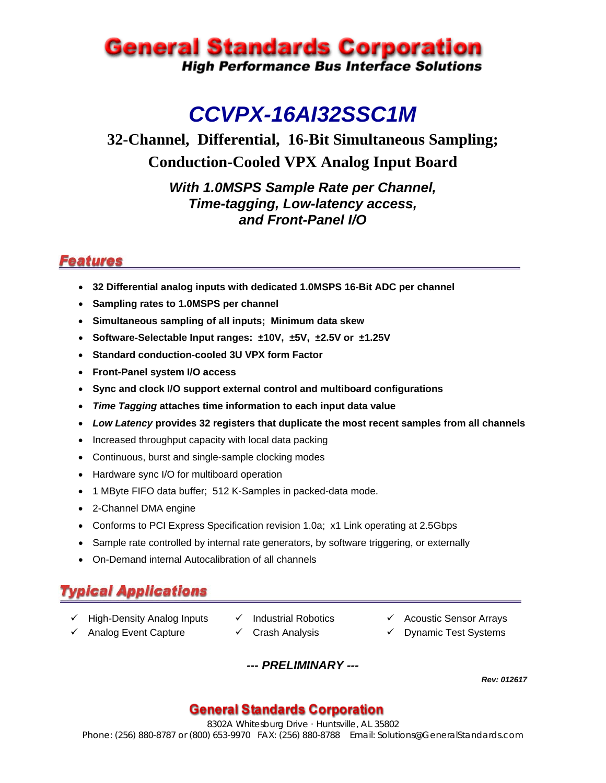## **General Standards Corporation High Performance Bus Interface Solutions**

# *CCVPX-16AI32SSC1M*

## **32-Channel, Differential, 16-Bit Simultaneous Sampling; Conduction-Cooled VPX Analog Input Board**

*With 1.0MSPS Sample Rate per Channel, Time-tagging, Low-latency access, and Front-Panel I/O* 

### **Features**

- **32 Differential analog inputs with dedicated 1.0MSPS 16-Bit ADC per channel**
- **Sampling rates to 1.0MSPS per channel**
- **Simultaneous sampling of all inputs; Minimum data skew**
- **Software-Selectable Input ranges: ±10V, ±5V, ±2.5V or ±1.25V**
- **Standard conduction-cooled 3U VPX form Factor**
- **Front-Panel system I/O access**
- **Sync and clock I/O support external control and multiboard configurations**
- *Time Tagging* **attaches time information to each input data value**
- *Low Latency* **provides 32 registers that duplicate the most recent samples from all channels**
- Increased throughput capacity with local data packing
- Continuous, burst and single-sample clocking modes
- Hardware sync I/O for multiboard operation
- 1 MByte FIFO data buffer; 512 K-Samples in packed-data mode.
- 2-Channel DMA engine
- Conforms to PCI Express Specification revision 1.0a; x1 Link operating at 2.5Gbps
- Sample rate controlled by internal rate generators, by software triggering, or externally
- On-Demand internal Autocalibration of all channels

## **Typical Applications**

- **V** High-Density Analog Inputs **V** Industrial Robotics **ACOUS** Acoustic Sensor Arrays
- 
- 
- $\checkmark$  Analog Event Capture  $\checkmark$  Crash Analysis  $\checkmark$  Dynamic Test Systems

*--- PRELIMINARY ---*

*Rev: 012617*

#### **General Standards Corporation**

8302A Whitesburg Drive · Huntsville, AL 35802 Phone: (256) 880-8787 or (800) 653-9970 FAX: (256) 880-8788 Email: Solutions@GeneralStandards.com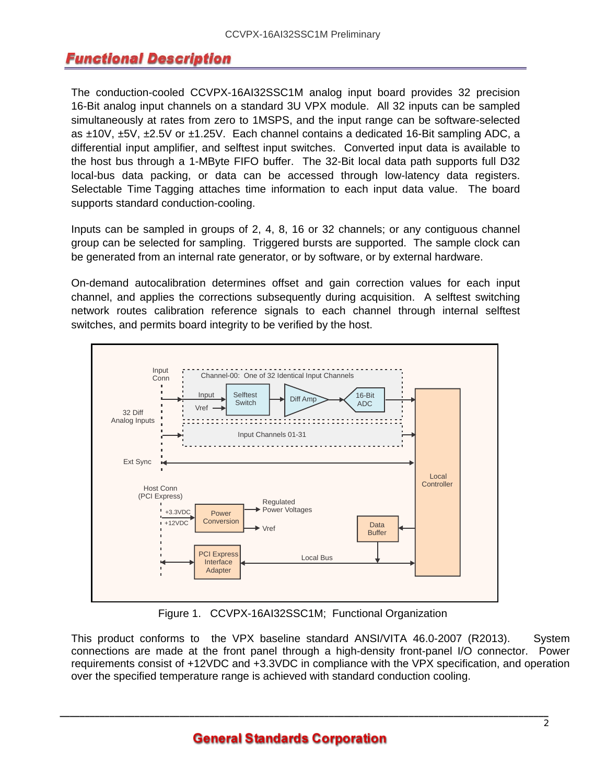### Functional Description

The conduction-cooled CCVPX-16AI32SSC1M analog input board provides 32 precision 16-Bit analog input channels on a standard 3U VPX module. All 32 inputs can be sampled simultaneously at rates from zero to 1MSPS, and the input range can be software-selected as ±10V, ±5V, ±2.5V or ±1.25V. Each channel contains a dedicated 16-Bit sampling ADC, a differential input amplifier, and selftest input switches. Converted input data is available to the host bus through a 1-MByte FIFO buffer. The 32-Bit local data path supports full D32 local-bus data packing, or data can be accessed through low-latency data registers. Selectable Time Tagging attaches time information to each input data value. The board supports standard conduction-cooling.

Inputs can be sampled in groups of 2, 4, 8, 16 or 32 channels; or any contiguous channel group can be selected for sampling. Triggered bursts are supported. The sample clock can be generated from an internal rate generator, or by software, or by external hardware.

On-demand autocalibration determines offset and gain correction values for each input channel, and applies the corrections subsequently during acquisition. A selftest switching network routes calibration reference signals to each channel through internal selftest switches, and permits board integrity to be verified by the host.



Figure 1. CCVPX-16AI32SSC1M; Functional Organization

This product conforms to the VPX baseline standard ANSI/VITA 46.0-2007 (R2013). System connections are made at the front panel through a high-density front-panel I/O connector. Power requirements consist of +12VDC and +3.3VDC in compliance with the VPX specification, and operation over the specified temperature range is achieved with standard conduction cooling.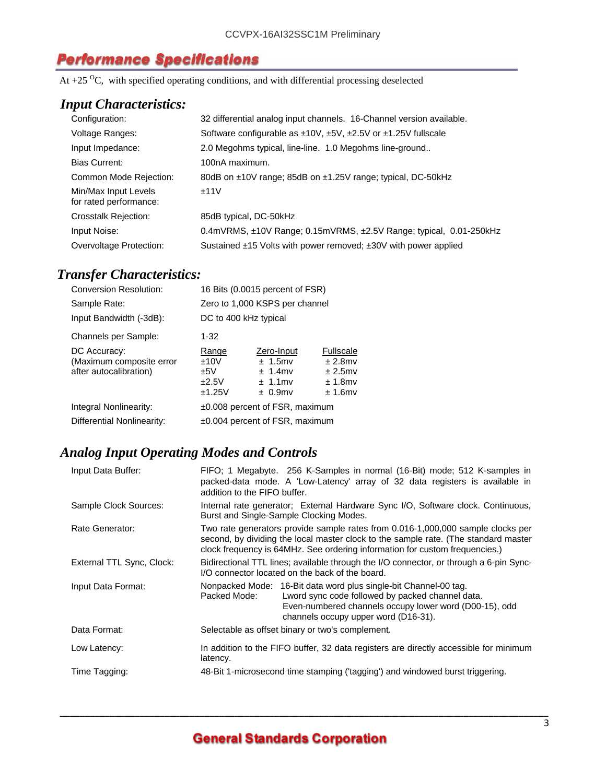#### **Performance Specifications**

At  $+25$  <sup>O</sup>C, with specified operating conditions, and with differential processing deselected

#### *Input Characteristics:*

| Configuration:                                 | 32 differential analog input channels. 16-Channel version available.                |
|------------------------------------------------|-------------------------------------------------------------------------------------|
| Voltage Ranges:                                | Software configurable as $\pm 10V$ , $\pm 5V$ , $\pm 2.5V$ or $\pm 1.25V$ fullscale |
| Input Impedance:                               | 2.0 Megohms typical, line-line. 1.0 Megohms line-ground                             |
| <b>Bias Current:</b>                           | 100nA maximum.                                                                      |
| Common Mode Rejection:                         | 80dB on ±10V range; 85dB on ±1.25V range; typical, DC-50kHz                         |
| Min/Max Input Levels<br>for rated performance: | ±11V                                                                                |
| <b>Crosstalk Rejection:</b>                    | 85dB typical, DC-50kHz                                                              |
| Input Noise:                                   | 0.4mVRMS, $\pm$ 10V Range; 0.15mVRMS, $\pm$ 2.5V Range; typical, 0.01-250kHz        |
| Overvoltage Protection:                        | Sustained $\pm$ 15 Volts with power removed; $\pm$ 30V with power applied           |

#### *Transfer Characteristics:*

| $1 - 32$                                |                                                                    |                                                                                                                                                                     |
|-----------------------------------------|--------------------------------------------------------------------|---------------------------------------------------------------------------------------------------------------------------------------------------------------------|
| Range<br>±10V<br>±5V<br>±2.5V<br>±1.25V | Zero-Input<br>$± 1.5$ mv<br>$± 1.4$ mv<br>$± 1.1$ mv<br>$± 0.9$ mv | <b>Fullscale</b><br>$± 2.8$ mv<br>$± 2.5$ mv<br>$± 1.8$ mv<br>$± 1.6$ mv                                                                                            |
|                                         |                                                                    |                                                                                                                                                                     |
|                                         |                                                                    |                                                                                                                                                                     |
|                                         |                                                                    | 16 Bits (0.0015 percent of FSR)<br>Zero to 1,000 KSPS per channel<br>DC to 400 kHz typical<br>±0.008 percent of FSR, maximum<br>$\pm 0.004$ percent of FSR, maximum |

#### *Analog Input Operating Modes and Controls*

| Input Data Buffer:        | addition to the FIFO buffer.                                                                                                                                                                                                                          | FIFO; 1 Megabyte. 256 K-Samples in normal (16-Bit) mode; 512 K-samples in<br>packed-data mode. A 'Low-Latency' array of 32 data registers is available in                                                              |  |
|---------------------------|-------------------------------------------------------------------------------------------------------------------------------------------------------------------------------------------------------------------------------------------------------|------------------------------------------------------------------------------------------------------------------------------------------------------------------------------------------------------------------------|--|
| Sample Clock Sources:     | Internal rate generator; External Hardware Sync I/O, Software clock. Continuous,<br>Burst and Single-Sample Clocking Modes.                                                                                                                           |                                                                                                                                                                                                                        |  |
| Rate Generator:           | Two rate generators provide sample rates from 0.016-1,000,000 sample clocks per<br>second, by dividing the local master clock to the sample rate. (The standard master<br>clock frequency is 64MHz. See ordering information for custom frequencies.) |                                                                                                                                                                                                                        |  |
| External TTL Sync, Clock: | Bidirectional TTL lines; available through the I/O connector, or through a 6-pin Sync-<br>I/O connector located on the back of the board.                                                                                                             |                                                                                                                                                                                                                        |  |
| Input Data Format:        | Packed Mode:                                                                                                                                                                                                                                          | Nonpacked Mode: 16-Bit data word plus single-bit Channel-00 tag.<br>Lword sync code followed by packed channel data.<br>Even-numbered channels occupy lower word (D00-15), odd<br>channels occupy upper word (D16-31). |  |
| Data Format:              |                                                                                                                                                                                                                                                       | Selectable as offset binary or two's complement.                                                                                                                                                                       |  |
| Low Latency:              | In addition to the FIFO buffer, 32 data registers are directly accessible for minimum<br>latency.                                                                                                                                                     |                                                                                                                                                                                                                        |  |
| Time Tagging:             |                                                                                                                                                                                                                                                       | 48-Bit 1-microsecond time stamping ('tagging') and windowed burst triggering.                                                                                                                                          |  |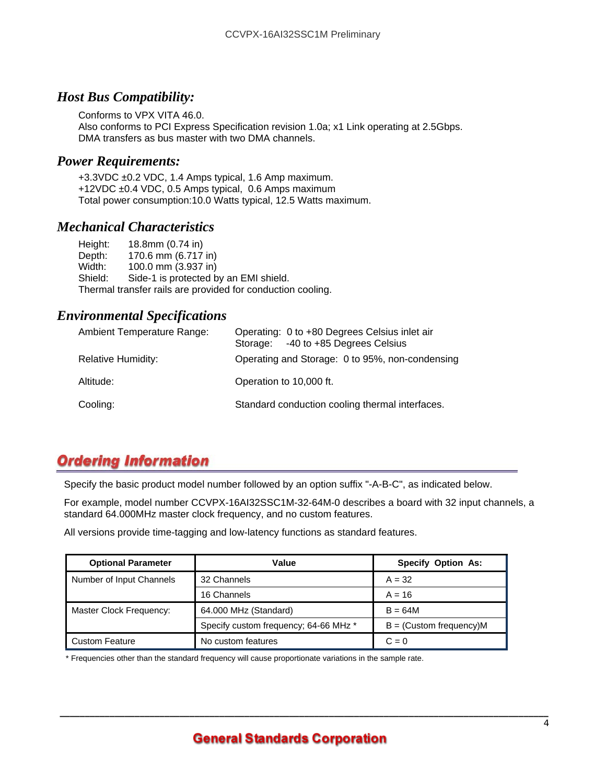#### *Host Bus Compatibility:*

Conforms to VPX VITA 46.0. Also conforms to PCI Express Specification revision 1.0a; x1 Link operating at 2.5Gbps. DMA transfers as bus master with two DMA channels.

#### *Power Requirements:*

+3.3VDC ±0.2 VDC, 1.4 Amps typical, 1.6 Amp maximum. +12VDC ±0.4 VDC, 0.5 Amps typical, 0.6 Amps maximum Total power consumption:10.0 Watts typical, 12.5 Watts maximum.

#### *Mechanical Characteristics*

Height: 18.8mm (0.74 in) Depth: 170.6 mm (6.717 in) Width: 100.0 mm (3.937 in)<br>Shield: Side-1 is protected b Side-1 is protected by an EMI shield. Thermal transfer rails are provided for conduction cooling.

#### *Environmental Specifications*

| <b>Ambient Temperature Range:</b> | Operating: 0 to +80 Degrees Celsius inlet air<br>-40 to +85 Degrees Celsius<br>Storage: |
|-----------------------------------|-----------------------------------------------------------------------------------------|
| <b>Relative Humidity:</b>         | Operating and Storage: 0 to 95%, non-condensing                                         |
| Altitude:                         | Operation to 10,000 ft.                                                                 |
| Cooling:                          | Standard conduction cooling thermal interfaces.                                         |

### **Ordering Information**

Specify the basic product model number followed by an option suffix "-A-B-C", as indicated below.

For example, model number CCVPX-16AI32SSC1M-32-64M-0 describes a board with 32 input channels, a standard 64.000MHz master clock frequency, and no custom features.

All versions provide time-tagging and low-latency functions as standard features.

| <b>Optional Parameter</b> | Value                                 | <b>Specify Option As:</b>   |
|---------------------------|---------------------------------------|-----------------------------|
| Number of Input Channels  | 32 Channels                           | $A = 32$                    |
|                           | 16 Channels                           | $A = 16$                    |
| Master Clock Frequency:   | 64.000 MHz (Standard)                 | $B = 64M$                   |
|                           | Specify custom frequency; 64-66 MHz * | $B = (Customer frequency)M$ |
| <b>Custom Feature</b>     | No custom features                    | $C = 0$                     |

\* Frequencies other than the standard frequency will cause proportionate variations in the sample rate.